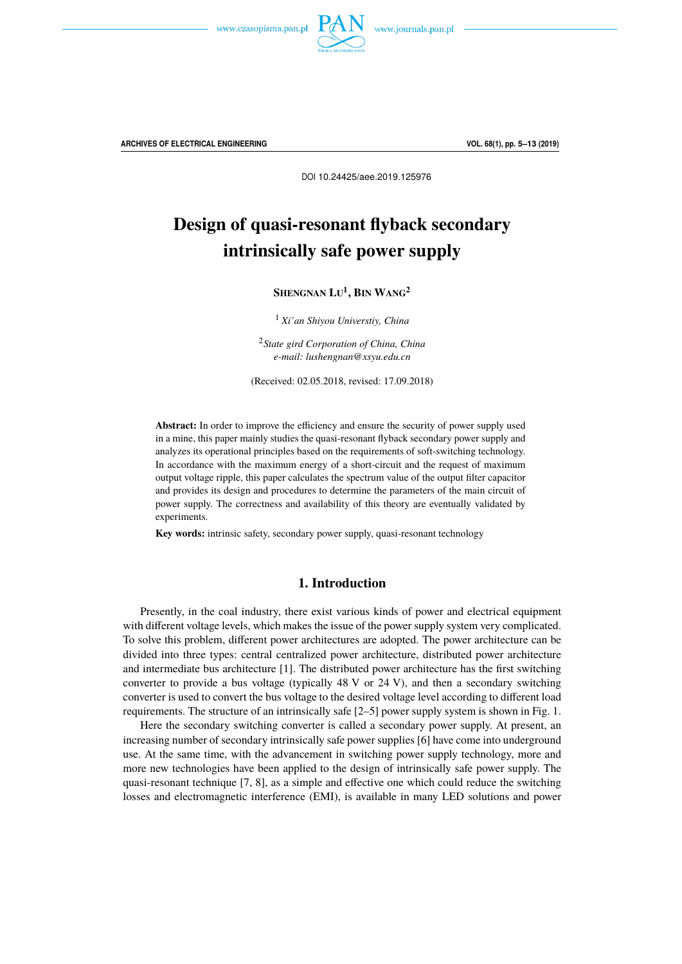



**ARCHIVES OF ELECTRICAL ENGINEERING VOL. 68(1), pp. 5–13 (2019)**

DOI 10.24425/aee.2019.125976

# Design of quasi-resonant flyback secondary intrinsically safe power supply

**SHENGNAN LU 1 , BIN WANG<sup>2</sup>**

<sup>1</sup> *Xi'an Shiyou Universtiy, China*

<sup>2</sup>*State gird Corporation of China, China e-mail: lushengnan@xsyu.edu.cn*

(Received: 02.05.2018, revised: 17.09.2018)

**Abstract:** In order to improve the efficiency and ensure the security of power supply used in a mine, this paper mainly studies the quasi-resonant flyback secondary power supply and analyzes its operational principles based on the requirements of soft-switching technology. In accordance with the maximum energy of a short-circuit and the request of maximum output voltage ripple, this paper calculates the spectrum value of the output filter capacitor and provides its design and procedures to determine the parameters of the main circuit of power supply. The correctness and availability of this theory are eventually validated by experiments.

**Key words:** intrinsic safety, secondary power supply, quasi-resonant technology

# **1. Introduction**

Presently, in the coal industry, there exist various kinds of power and electrical equipment with different voltage levels, which makes the issue of the power supply system very complicated. To solve this problem, different power architectures are adopted. The power architecture can be divided into three types: central centralized power architecture, distributed power architecture and intermediate bus architecture [1]. The distributed power architecture has the first switching converter to provide a bus voltage (typically 48 V or 24 V), and then a secondary switching converter is used to convert the bus voltage to the desired voltage level according to different load requirements. The structure of an intrinsically safe [2–5] power supply system is shown in Fig. 1.

Here the secondary switching converter is called a secondary power supply. At present, an increasing number of secondary intrinsically safe power supplies [6] have come into underground use. At the same time, with the advancement in switching power supply technology, more and more new technologies have been applied to the design of intrinsically safe power supply. The quasi-resonant technique [7, 8], as a simple and effective one which could reduce the switching losses and electromagnetic interference (EMI), is available in many LED solutions and power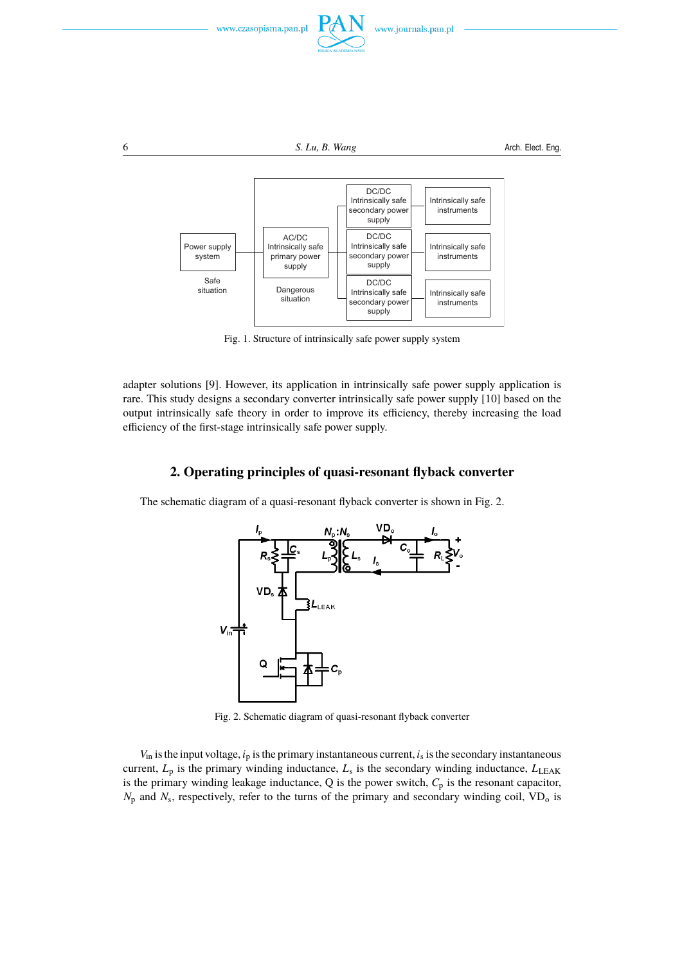

Fig. 1. Structure of intrinsically safe power supply system

adapter solutions [9]. However, its application in intrinsically safe power supply application is rare. This study designs a secondary converter intrinsically safe power supply [10] based on the output intrinsically safe theory in order to improve its efficiency, thereby increasing the load efficiency of the first-stage intrinsically safe power supply.

# **2. Operating principles of quasi-resonant flyback converter**

The schematic diagram of a quasi-resonant flyback converter is shown in Fig. 2.



Fig. 2. Schematic diagram of quasi-resonant flyback converter

 $V_{\text{in}}$  is the input voltage,  $i_{\text{p}}$  is the primary instantaneous current,  $i_{\text{s}}$  is the secondary instantaneous current,  $L_p$  is the primary winding inductance,  $L_s$  is the secondary winding inductance,  $L_{\text{LEAK}}$ is the primary winding leakage inductance,  $Q$  is the power switch,  $C_p$  is the resonant capacitor,  $N_{\rm p}$  and  $N_{\rm s}$ , respectively, refer to the turns of the primary and secondary winding coil, VD<sub>o</sub> is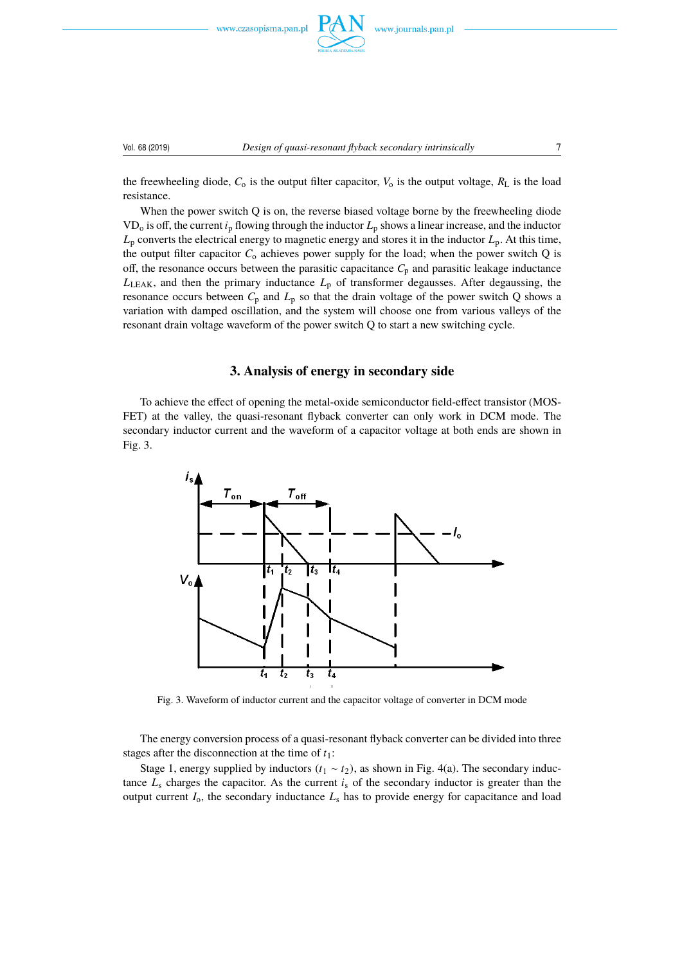



### Vol. 68 (2019) *Design of quasi-resonant flyback secondary intrinsically* 7

the freewheeling diode,  $C_0$  is the output filter capacitor,  $V_0$  is the output voltage,  $R_L$  is the load resistance.

When the power switch Q is on, the reverse biased voltage borne by the freewheeling diode VD<sup>o</sup> is off, the current *i*<sup>p</sup> flowing through the inductor *L*<sup>p</sup> shows a linear increase, and the inductor  $L_p$  converts the electrical energy to magnetic energy and stores it in the inductor  $L_p$ . At this time, the output filter capacitor  $C_0$  achieves power supply for the load; when the power switch Q is off, the resonance occurs between the parasitic capacitance  $C_p$  and parasitic leakage inductance  $L_{\text{LEAK}}$ , and then the primary inductance  $L_{\text{p}}$  of transformer degausses. After degaussing, the resonance occurs between  $C_p$  and  $L_p$  so that the drain voltage of the power switch Q shows a variation with damped oscillation, and the system will choose one from various valleys of the resonant drain voltage waveform of the power switch Q to start a new switching cycle.

# **3. Analysis of energy in secondary side**

To achieve the effect of opening the metal-oxide semiconductor field-effect transistor (MOS-FET) at the valley, the quasi-resonant flyback converter can only work in DCM mode. The secondary inductor current and the waveform of a capacitor voltage at both ends are shown in Fig. 3.



Fig. 3. Waveform of inductor current and the capacitor voltage of converter in DCM mode

The energy conversion process of a quasi-resonant flyback converter can be divided into three stages after the disconnection at the time of  $t_1$ :

Stage 1, energy supplied by inductors  $(t_1 \sim t_2)$ , as shown in Fig. 4(a). The secondary inductance  $L_s$  charges the capacitor. As the current  $i_s$  of the secondary inductor is greater than the output current  $I_0$ , the secondary inductance  $L_s$  has to provide energy for capacitance and load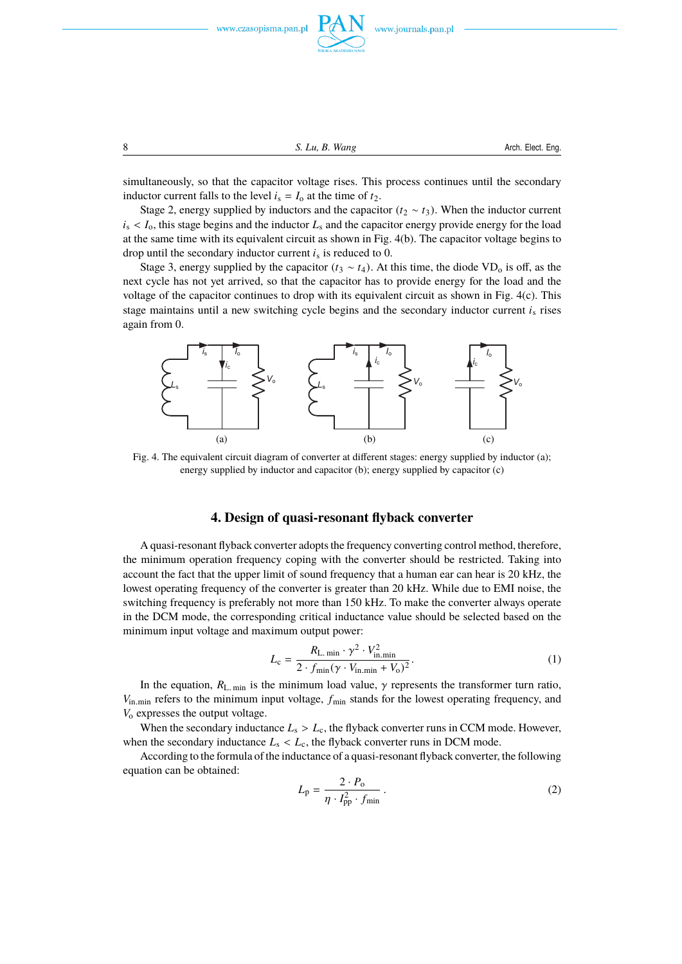

8 **S.** Lu, B. Wang **S.** Cu, B. Wang **Arch. Elect. Eng.** 

simultaneously, so that the capacitor voltage rises. This process continues until the secondary inductor current falls to the level  $i_s = I_0$  at the time of  $t_2$ .

Stage 2, energy supplied by inductors and the capacitor  $(t_2 \sim t_3)$ . When the inductor current  $i<sub>s</sub> < I<sub>o</sub>$ , this stage begins and the inductor  $L<sub>s</sub>$  and the capacitor energy provide energy for the load at the same time with its equivalent circuit as shown in Fig. 4(b). The capacitor voltage begins to drop until the secondary inductor current *i*<sup>s</sup> is reduced to 0.

Stage 3, energy supplied by the capacitor ( $t_3 \sim t_4$ ). At this time, the diode VD<sub>o</sub> is off, as the next cycle has not yet arrived, so that the capacitor has to provide energy for the load and the voltage of the capacitor continues to drop with its equivalent circuit as shown in Fig. 4(c). This stage maintains until a new switching cycle begins and the secondary inductor current  $i<sub>s</sub>$  rises again from 0.



Fig. 4. The equivalent circuit diagram of converter at different stages: energy supplied by inductor (a); energy supplied by inductor and capacitor (b); energy supplied by capacitor (c)

### **4. Design of quasi-resonant flyback converter**

A quasi-resonant flyback converter adopts the frequency converting control method, therefore, the minimum operation frequency coping with the converter should be restricted. Taking into account the fact that the upper limit of sound frequency that a human ear can hear is 20 kHz, the lowest operating frequency of the converter is greater than 20 kHz. While due to EMI noise, the switching frequency is preferably not more than 150 kHz. To make the converter always operate in the DCM mode, the corresponding critical inductance value should be selected based on the minimum input voltage and maximum output power:

$$
L_{\rm c} = \frac{R_{\rm L. \, min} \cdot \gamma^2 \cdot V_{\rm in. \, min}^2}{2 \cdot f_{\rm min}(\gamma \cdot V_{\rm in. \, min} + V_{\rm o})^2}.
$$
 (1)

In the equation,  $R_{\text{L. min}}$  is the minimum load value,  $\gamma$  represents the transformer turn ratio, *V*<sub>in.min</sub> refers to the minimum input voltage,  $f_{\text{min}}$  stands for the lowest operating frequency, and *V*<sub>o</sub> expresses the output voltage.

When the secondary inductance  $L_s > L_c$ , the flyback converter runs in CCM mode. However, when the secondary inductance  $L_s < L_c$ , the flyback converter runs in DCM mode.

According to the formula of the inductance of a quasi-resonant flyback converter, the following equation can be obtained:

$$
L_{\rm p} = \frac{2 \cdot P_{\rm o}}{\eta \cdot I_{\rm pp}^2 \cdot f_{\rm min}} \,. \tag{2}
$$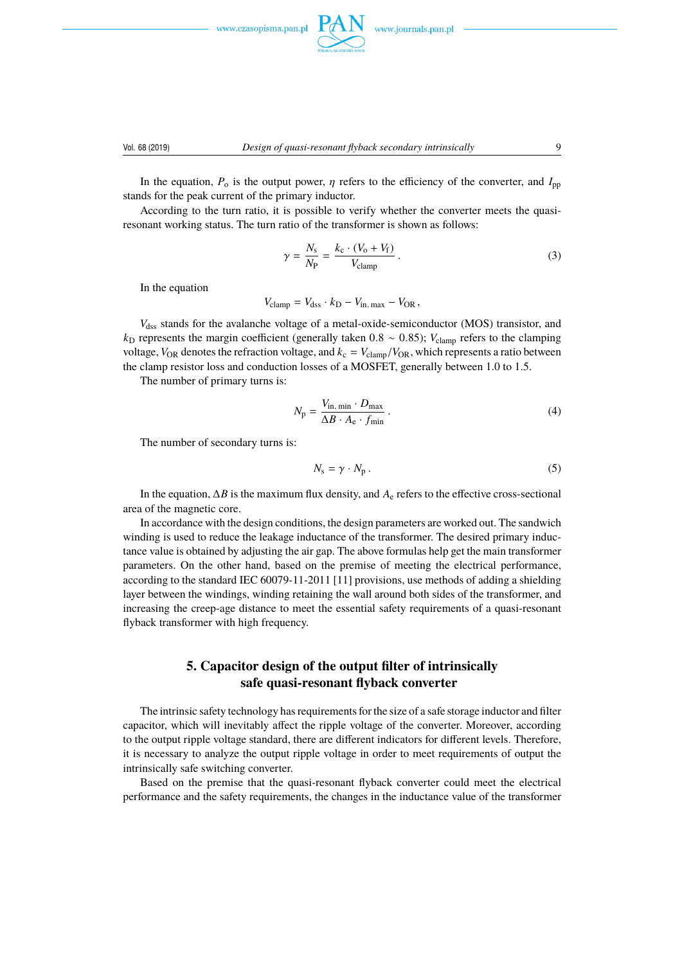



### Vol. 68 (2019) *Design of quasi-resonant flyback secondary intrinsically* 9

In the equation,  $P_0$  is the output power,  $\eta$  refers to the efficiency of the converter, and  $I_{\text{DD}}$ stands for the peak current of the primary inductor.

According to the turn ratio, it is possible to verify whether the converter meets the quasiresonant working status. The turn ratio of the transformer is shown as follows:

$$
\gamma = \frac{N_{\rm s}}{N_{\rm P}} = \frac{k_{\rm c} \cdot (V_{\rm o} + V_{\rm f})}{V_{\rm clamp}}.
$$
\n(3)

In the equation

 $V_{\text{clamp}} = V_{\text{dss}} \cdot k_{\text{D}} - V_{\text{in. max}} - V_{\text{OR}}$ 

*V*dss stands for the avalanche voltage of a metal-oxide-semiconductor (MOS) transistor, and  $k_D$  represents the margin coefficient (generally taken 0.8 ~ 0.85);  $V_{\text{clamp}}$  refers to the clamping voltage,  $V_{OR}$  denotes the refraction voltage, and  $k_c = V_{\text{clamp}}/V_{OR}$ , which represents a ratio between the clamp resistor loss and conduction losses of a MOSFET, generally between 1.0 to 1.5.

The number of primary turns is:

$$
N_{\rm p} = \frac{V_{\rm in. \, min} \cdot D_{\rm max}}{\Delta B \cdot A_{\rm e} \cdot f_{\rm min}} \,. \tag{4}
$$

The number of secondary turns is:

$$
N_{\rm s} = \gamma \cdot N_{\rm p} \,. \tag{5}
$$

In the equation, ∆*B* is the maximum flux density, and *A*<sup>e</sup> refers to the effective cross-sectional area of the magnetic core.

In accordance with the design conditions, the design parameters are worked out. The sandwich winding is used to reduce the leakage inductance of the transformer. The desired primary inductance value is obtained by adjusting the air gap. The above formulas help get the main transformer parameters. On the other hand, based on the premise of meeting the electrical performance, according to the standard IEC 60079-11-2011 [11] provisions, use methods of adding a shielding layer between the windings, winding retaining the wall around both sides of the transformer, and increasing the creep-age distance to meet the essential safety requirements of a quasi-resonant flyback transformer with high frequency.

# **5. Capacitor design of the output filter of intrinsically safe quasi-resonant flyback converter**

The intrinsic safety technology has requirements for the size of a safe storage inductor and filter capacitor, which will inevitably affect the ripple voltage of the converter. Moreover, according to the output ripple voltage standard, there are different indicators for different levels. Therefore, it is necessary to analyze the output ripple voltage in order to meet requirements of output the intrinsically safe switching converter.

Based on the premise that the quasi-resonant flyback converter could meet the electrical performance and the safety requirements, the changes in the inductance value of the transformer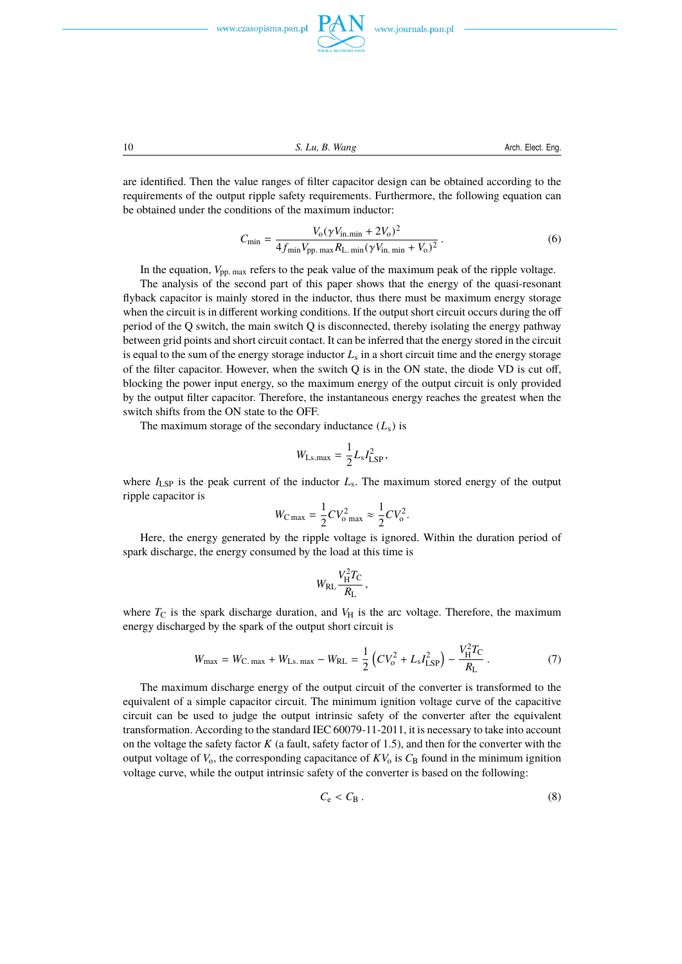

10 *S. Lu, B. Wang* Arch. Elect. Eng.

are identified. Then the value ranges of filter capacitor design can be obtained according to the requirements of the output ripple safety requirements. Furthermore, the following equation can be obtained under the conditions of the maximum inductor:

$$
C_{\min} = \frac{V_0 (\gamma V_{\text{in. min}} + 2V_0)^2}{4 f_{\min} V_{\text{pp. max}} R_{\text{L. min}} (\gamma V_{\text{in. min}} + V_0)^2} \,. \tag{6}
$$

In the equation,  $V_{\text{pp. max}}$  refers to the peak value of the maximum peak of the ripple voltage.

The analysis of the second part of this paper shows that the energy of the quasi-resonant flyback capacitor is mainly stored in the inductor, thus there must be maximum energy storage when the circuit is in different working conditions. If the output short circuit occurs during the off period of the Q switch, the main switch Q is disconnected, thereby isolating the energy pathway between grid points and short circuit contact. It can be inferred that the energy stored in the circuit is equal to the sum of the energy storage inductor *L*<sup>s</sup> in a short circuit time and the energy storage of the filter capacitor. However, when the switch Q is in the ON state, the diode VD is cut off, blocking the power input energy, so the maximum energy of the output circuit is only provided by the output filter capacitor. Therefore, the instantaneous energy reaches the greatest when the switch shifts from the ON state to the OFF.

The maximum storage of the secondary inductance  $(L<sub>s</sub>)$  is

$$
W_{\text{Ls.max}} = \frac{1}{2} L_s I_{\text{LSP}}^2,
$$

where  $I_{\text{LSP}}$  is the peak current of the inductor  $L_{\text{s}}$ . The maximum stored energy of the output ripple capacitor is

$$
W_{\rm C\,max} = \frac{1}{2}CV_{\rm o\,max}^2 \approx \frac{1}{2}CV_{\rm o}^2.
$$

Here, the energy generated by the ripple voltage is ignored. Within the duration period of spark discharge, the energy consumed by the load at this time is

$$
W_{\rm RL} \frac{V_{\rm H}^2 T_{\rm C}}{R_{\rm L}},
$$

where  $T_{\rm C}$  is the spark discharge duration, and  $V_{\rm H}$  is the arc voltage. Therefore, the maximum energy discharged by the spark of the output short circuit is

$$
W_{\text{max}} = W_{\text{C. max}} + W_{\text{Ls. max}} - W_{\text{RL}} = \frac{1}{2} \left( C V_0^2 + L_s I_{\text{LSP}}^2 \right) - \frac{V_{\text{H}}^2 T_{\text{C}}}{R_{\text{L}}} \,. \tag{7}
$$

The maximum discharge energy of the output circuit of the converter is transformed to the equivalent of a simple capacitor circuit. The minimum ignition voltage curve of the capacitive circuit can be used to judge the output intrinsic safety of the converter after the equivalent transformation. According to the standard IEC 60079-11-2011, it is necessary to take into account on the voltage the safety factor  $K$  (a fault, safety factor of 1.5), and then for the converter with the output voltage of  $V_0$ , the corresponding capacitance of  $KV_0$  is  $C_B$  found in the minimum ignition voltage curve, while the output intrinsic safety of the converter is based on the following:

$$
C_{\rm e} < C_{\rm B} \,. \tag{8}
$$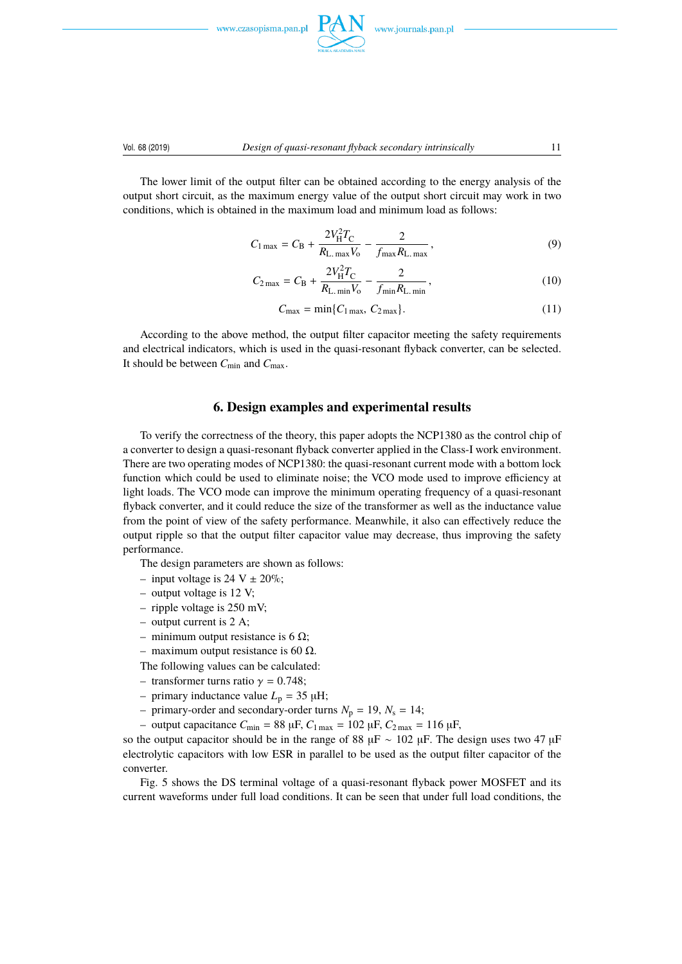





The lower limit of the output filter can be obtained according to the energy analysis of the output short circuit, as the maximum energy value of the output short circuit may work in two conditions, which is obtained in the maximum load and minimum load as follows:

$$
C_{1\max} = C_{\rm B} + \frac{2V_{\rm H}^2 T_{\rm C}}{R_{\rm L. max} V_{\rm o}} - \frac{2}{f_{\rm max} R_{\rm L. max}},
$$
(9)

$$
C_{2\max} = C_{\rm B} + \frac{2V_{\rm H}^2 T_{\rm C}}{R_{\rm L. min} V_{\rm o}} - \frac{2}{f_{\min} R_{\rm L. min}},
$$
(10)

$$
C_{\text{max}} = \min\{C_{1\text{ max}}, C_{2\text{ max}}\}.
$$
\n(11)

According to the above method, the output filter capacitor meeting the safety requirements and electrical indicators, which is used in the quasi-resonant flyback converter, can be selected. It should be between *C*min and *C*max.

# **6. Design examples and experimental results**

To verify the correctness of the theory, this paper adopts the NCP1380 as the control chip of a converter to design a quasi-resonant flyback converter applied in the Class-I work environment. There are two operating modes of NCP1380: the quasi-resonant current mode with a bottom lock function which could be used to eliminate noise; the VCO mode used to improve efficiency at light loads. The VCO mode can improve the minimum operating frequency of a quasi-resonant flyback converter, and it could reduce the size of the transformer as well as the inductance value from the point of view of the safety performance. Meanwhile, it also can effectively reduce the output ripple so that the output filter capacitor value may decrease, thus improving the safety performance.

The design parameters are shown as follows:

- input voltage is 24 V  $\pm$  20%;
- output voltage is 12 V;
- ripple voltage is 250 mV;
- output current is 2 A;
- minimum output resistance is 6  $\Omega$ ;
- maximum output resistance is 60  $Ω$ .

The following values can be calculated:

- transformer turns ratio  $\gamma = 0.748$ ;
- primary inductance value  $L_p = 35 \mu H$ ;
- primary-order and secondary-order turns  $N_p = 19$ ,  $N_s = 14$ ;
- output capacitance  $C_{\text{min}} = 88 \,\mu\text{F}$ ,  $C_{1 \,\text{max}} = 102 \,\mu\text{F}$ ,  $C_{2 \,\text{max}} = 116 \,\mu\text{F}$ ,

so the output capacitor should be in the range of 88 µF ~ 102 µF. The design uses two 47 µF electrolytic capacitors with low ESR in parallel to be used as the output filter capacitor of the converter.

Fig. 5 shows the DS terminal voltage of a quasi-resonant flyback power MOSFET and its current waveforms under full load conditions. It can be seen that under full load conditions, the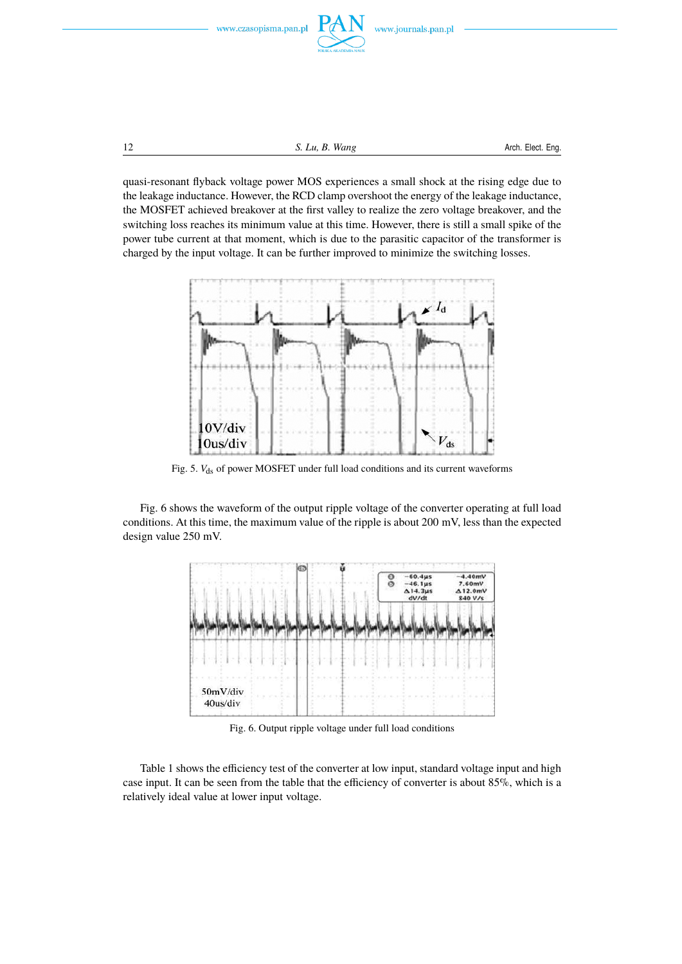

12 S. Lu, B. Wang<br>
12 Arch. Elect. Eng.

quasi-resonant flyback voltage power MOS experiences a small shock at the rising edge due to the leakage inductance. However, the RCD clamp overshoot the energy of the leakage inductance, the MOSFET achieved breakover at the first valley to realize the zero voltage breakover, and the switching loss reaches its minimum value at this time. However, there is still a small spike of the power tube current at that moment, which is due to the parasitic capacitor of the transformer is charged by the input voltage. It can be further improved to minimize the switching losses.



Fig. 5.  $V_{ds}$  of power MOSFET under full load conditions and its current waveforms

Fig. 6 shows the waveform of the output ripple voltage of the converter operating at full load conditions. At this time, the maximum value of the ripple is about 200 mV, less than the expected design value 250 mV.



Fig. 6. Output ripple voltage under full load conditions

Table 1 shows the efficiency test of the converter at low input, standard voltage input and high case input. It can be seen from the table that the efficiency of converter is about 85%, which is a relatively ideal value at lower input voltage.